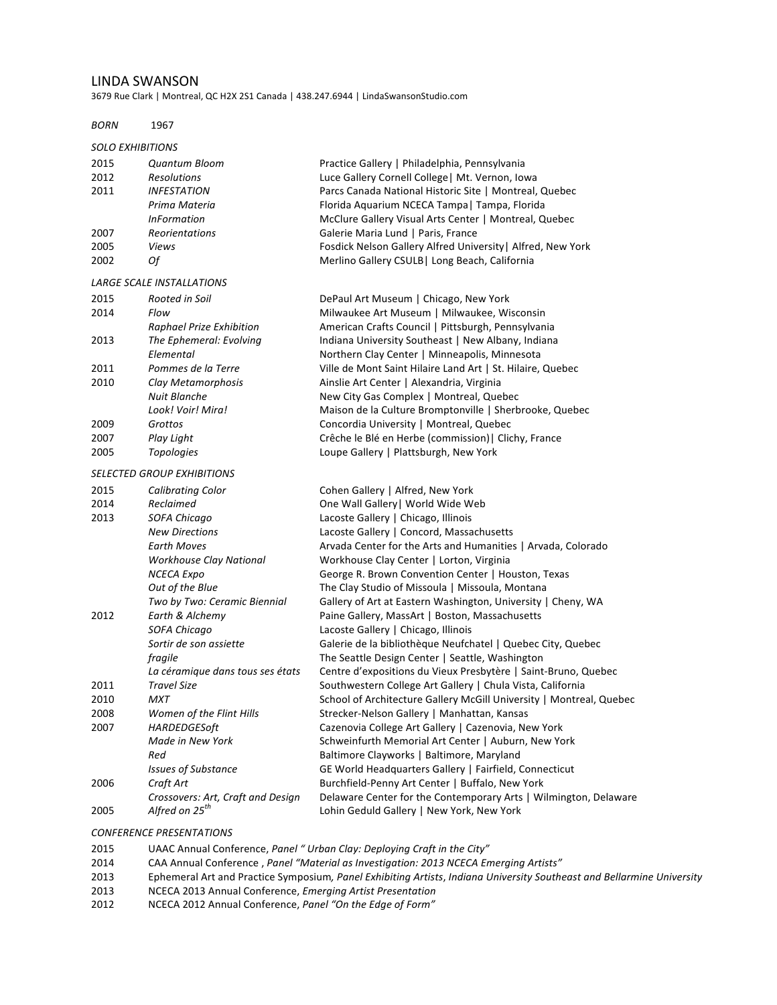#### LINDA SWANSON

3679 Rue Clark | Montreal, QC H2X 2S1 Canada | 438.247.6944 | LindaSwansonStudio.com

# *BORN* 1967

### **SOLO EXHIBITIONS**

| 2015 | Quantum Bloom                     | Practice Gallery   Philadelphia, Pennsylvania                       |
|------|-----------------------------------|---------------------------------------------------------------------|
| 2012 | <b>Resolutions</b>                | Luce Gallery Cornell College   Mt. Vernon, Iowa                     |
| 2011 | <i><b>INFESTATION</b></i>         | Parcs Canada National Historic Site   Montreal, Quebec              |
|      | Prima Materia                     | Florida Aquarium NCECA Tampa   Tampa, Florida                       |
|      | <b>InFormation</b>                | McClure Gallery Visual Arts Center   Montreal, Quebec               |
| 2007 | Reorientations                    | Galerie Maria Lund   Paris, France                                  |
| 2005 | Views                             | Fosdick Nelson Gallery Alfred University   Alfred, New York         |
| 2002 | Оf                                | Merlino Gallery CSULB   Long Beach, California                      |
|      | <b>LARGE SCALE INSTALLATIONS</b>  |                                                                     |
| 2015 | Rooted in Soil                    | DePaul Art Museum   Chicago, New York                               |
| 2014 | Flow                              | Milwaukee Art Museum   Milwaukee, Wisconsin                         |
|      | Raphael Prize Exhibition          | American Crafts Council   Pittsburgh, Pennsylvania                  |
| 2013 | The Ephemeral: Evolving           | Indiana University Southeast   New Albany, Indiana                  |
|      | Elemental                         | Northern Clay Center   Minneapolis, Minnesota                       |
| 2011 | Pommes de la Terre                | Ville de Mont Saint Hilaire Land Art   St. Hilaire, Quebec          |
| 2010 | Clay Metamorphosis                | Ainslie Art Center   Alexandria, Virginia                           |
|      | Nuit Blanche                      | New City Gas Complex   Montreal, Quebec                             |
|      | Look! Voir! Mira!                 | Maison de la Culture Bromptonville   Sherbrooke, Quebec             |
| 2009 | Grottos                           | Concordia University   Montreal, Quebec                             |
| 2007 | Play Light                        | Crêche le Blé en Herbe (commission)   Clichy, France                |
| 2005 | <b>Topologies</b>                 | Loupe Gallery   Plattsburgh, New York                               |
|      | <b>SELECTED GROUP EXHIBITIONS</b> |                                                                     |
| 2015 | <b>Calibrating Color</b>          | Cohen Gallery   Alfred, New York                                    |
| 2014 | Reclaimed                         | One Wall Gallery   World Wide Web                                   |
| 2013 | SOFA Chicago                      | Lacoste Gallery   Chicago, Illinois                                 |
|      | <b>New Directions</b>             | Lacoste Gallery   Concord, Massachusetts                            |
|      | Earth Moves                       | Arvada Center for the Arts and Humanities   Arvada, Colorado        |
|      | Workhouse Clay National           | Workhouse Clay Center   Lorton, Virginia                            |
|      | <b>NCECA Expo</b>                 | George R. Brown Convention Center   Houston, Texas                  |
|      | Out of the Blue                   | The Clay Studio of Missoula   Missoula, Montana                     |
|      | Two by Two: Ceramic Biennial      | Gallery of Art at Eastern Washington, University   Cheny, WA        |
| 2012 | Earth & Alchemy                   | Paine Gallery, MassArt   Boston, Massachusetts                      |
|      | SOFA Chicago                      | Lacoste Gallery   Chicago, Illinois                                 |
|      | Sortir de son assiette            | Galerie de la bibliothèque Neufchatel   Quebec City, Quebec         |
|      | fragile                           | The Seattle Design Center   Seattle, Washington                     |
|      | La céramique dans tous ses états  | Centre d'expositions du Vieux Presbytère   Saint-Bruno, Quebec      |
| 2011 | <b>Travel Size</b>                | Southwestern College Art Gallery   Chula Vista, California          |
| 2010 | MXT                               | School of Architecture Gallery McGill University   Montreal, Quebec |
| 2008 | Women of the Flint Hills          | Strecker-Nelson Gallery   Manhattan, Kansas                         |
| 2007 | HARDEDGES0ft                      | Cazenovia College Art Gallery   Cazenovia, New York                 |
|      | Made in New York                  | Schweinfurth Memorial Art Center   Auburn, New York                 |
|      | Red                               | Baltimore Clayworks   Baltimore, Maryland                           |
|      | <b>Issues of Substance</b>        | GE World Headquarters Gallery   Fairfield, Connecticut              |
| 2006 | Craft Art                         | Burchfield-Penny Art Center   Buffalo, New York                     |
|      | Crossovers: Art, Craft and Design | Delaware Center for the Contemporary Arts   Wilmington, Delaware    |
| 2005 | Alfred on 25 <sup>th</sup>        | Lohin Geduld Gallery   New York, New York                           |
|      |                                   |                                                                     |

#### **CONFERENCE PRESENTATIONS**

- 2015 UAAC Annual Conference, Panel " Urban Clay: Deploying Craft in the City"
- 2014 CAA Annual Conference , Panel "Material as Investigation: 2013 NCECA Emerging Artists"
- 2013 Ephemeral Art and Practice Symposium*, Panel Exhibiting Artists*, *Indiana University Southeast and Bellarmine University*
- 2013 NCECA 2013 Annual Conference, *Emerging Artist Presentation*
- 2012 NCECA 2012 Annual Conference, Panel "On the Edge of Form"